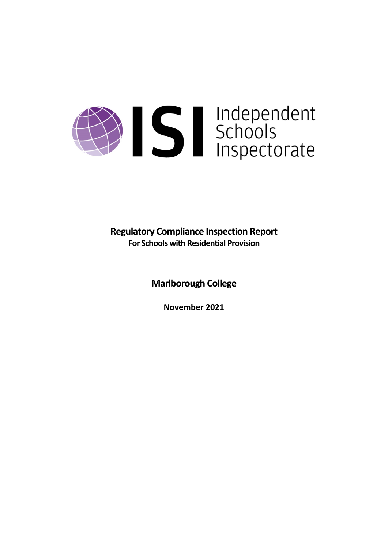# Sandependent<br>Schools<br>Inspectorate

**Regulatory Compliance Inspection Report For Schools with Residential Provision**

**Marlborough College**

**November 2021**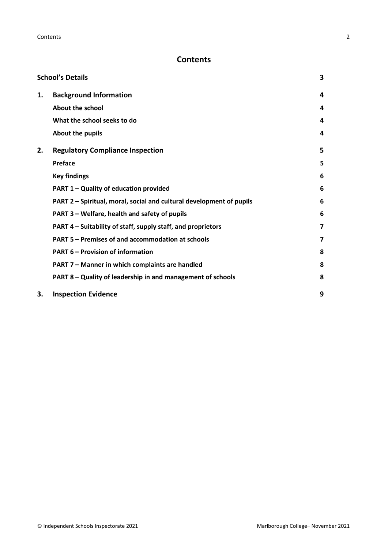# **Contents**

| <b>School's Details</b> |                                                                      |   |
|-------------------------|----------------------------------------------------------------------|---|
| 1.                      | <b>Background Information</b>                                        | 4 |
|                         | <b>About the school</b>                                              | 4 |
|                         | What the school seeks to do                                          | 4 |
|                         | About the pupils                                                     | 4 |
| 2.                      | <b>Regulatory Compliance Inspection</b>                              | 5 |
|                         | <b>Preface</b>                                                       | 5 |
|                         | <b>Key findings</b>                                                  | 6 |
|                         | PART 1 - Quality of education provided                               | 6 |
|                         | PART 2 - Spiritual, moral, social and cultural development of pupils | 6 |
|                         | PART 3 - Welfare, health and safety of pupils                        | 6 |
|                         | PART 4 - Suitability of staff, supply staff, and proprietors         | 7 |
|                         | PART 5 - Premises of and accommodation at schools                    | 7 |
|                         | <b>PART 6 - Provision of information</b>                             | 8 |
|                         | PART 7 - Manner in which complaints are handled                      | 8 |
|                         | PART 8 - Quality of leadership in and management of schools          | 8 |
| 3.                      | <b>Inspection Evidence</b>                                           | 9 |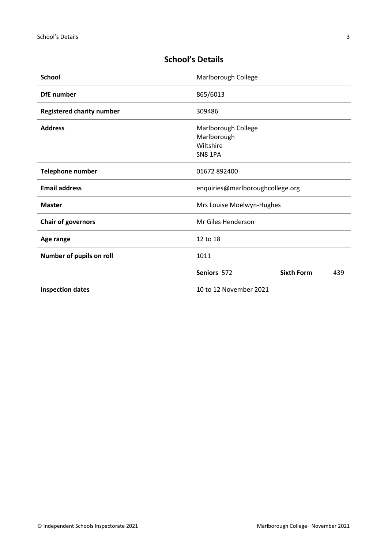| <b>School</b>                    | Marlborough College                                        |     |  |
|----------------------------------|------------------------------------------------------------|-----|--|
| <b>DfE</b> number                | 865/6013                                                   |     |  |
| <b>Registered charity number</b> | 309486                                                     |     |  |
| <b>Address</b>                   | Marlborough College<br>Marlborough<br>Wiltshire<br>SN8 1PA |     |  |
| <b>Telephone number</b>          | 01672 892400                                               |     |  |
| <b>Email address</b>             | enquiries@marlboroughcollege.org                           |     |  |
| <b>Master</b>                    | Mrs Louise Moelwyn-Hughes                                  |     |  |
| <b>Chair of governors</b>        | Mr Giles Henderson                                         |     |  |
| Age range                        | 12 to 18                                                   |     |  |
| Number of pupils on roll         | 1011                                                       |     |  |
|                                  | <b>Sixth Form</b><br>Seniors 572                           | 439 |  |
| <b>Inspection dates</b>          | 10 to 12 November 2021                                     |     |  |

# <span id="page-2-0"></span>**School's Details**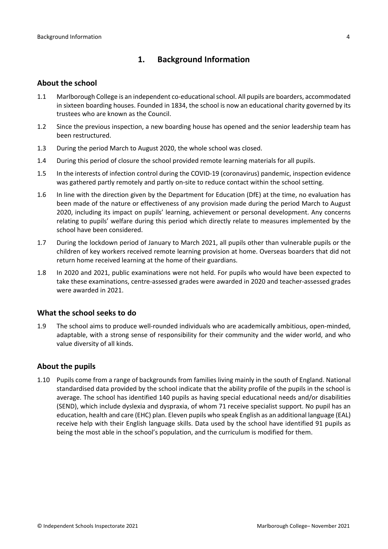## <span id="page-3-0"></span>**1. Background Information**

#### <span id="page-3-1"></span>**About the school**

- 1.1 Marlborough College is an independent co-educationalschool. All pupils are boarders, accommodated in sixteen boarding houses. Founded in 1834, the school is now an educational charity governed by its trustees who are known as the Council.
- 1.2 Since the previous inspection, a new boarding house has opened and the senior leadership team has been restructured.
- 1.3 During the period March to August 2020, the whole school was closed.
- 1.4 During this period of closure the school provided remote learning materials for all pupils.
- 1.5 In the interests of infection control during the COVID-19 (coronavirus) pandemic, inspection evidence was gathered partly remotely and partly on-site to reduce contact within the school setting.
- 1.6 In line with the direction given by the Department for Education (DfE) at the time, no evaluation has been made of the nature or effectiveness of any provision made during the period March to August 2020, including its impact on pupils' learning, achievement or personal development. Any concerns relating to pupils' welfare during this period which directly relate to measures implemented by the school have been considered.
- 1.7 During the lockdown period of January to March 2021, all pupils other than vulnerable pupils or the children of key workers received remote learning provision at home. Overseas boarders that did not return home received learning at the home of their guardians.
- 1.8 In 2020 and 2021, public examinations were not held. For pupils who would have been expected to take these examinations, centre-assessed grades were awarded in 2020 and teacher-assessed grades were awarded in 2021.

#### <span id="page-3-2"></span>**What the school seeks to do**

1.9 The school aims to produce well-rounded individuals who are academically ambitious, open-minded, adaptable, with a strong sense of responsibility for their community and the wider world, and who value diversity of all kinds.

#### <span id="page-3-3"></span>**About the pupils**

1.10 Pupils come from a range of backgrounds from families living mainly in the south of England. National standardised data provided by the school indicate that the ability profile of the pupils in the school is average. The school has identified 140 pupils as having special educational needs and/or disabilities (SEND), which include dyslexia and dyspraxia, of whom 71 receive specialist support. No pupil has an education, health and care (EHC) plan. Eleven pupils who speak English as an additional language (EAL) receive help with their English language skills. Data used by the school have identified 91 pupils as being the most able in the school's population, and the curriculum is modified for them.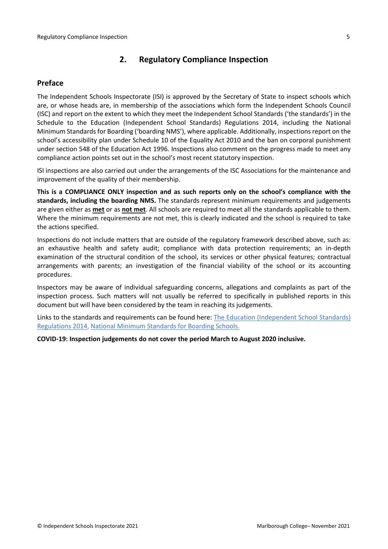## <span id="page-4-0"></span>**2. Regulatory Compliance Inspection**

### <span id="page-4-1"></span>**Preface**

The Independent Schools Inspectorate (ISI) is approved by the Secretary of State to inspect schools which are, or whose heads are, in membership of the associations which form the Independent Schools Council (ISC) and report on the extent to which they meet the Independent School Standards ('the standards') in the Schedule to the Education (Independent School Standards) Regulations 2014, including the National Minimum Standards for Boarding ('boarding NMS'), where applicable. Additionally, inspections report on the school's accessibility plan under Schedule 10 of the Equality Act 2010 and the ban on corporal punishment under section 548 of the Education Act 1996. Inspections also comment on the progress made to meet any compliance action points set out in the school's most recent statutory inspection.

ISI inspections are also carried out under the arrangements of the ISC Associations for the maintenance and improvement of the quality of their membership.

**This is a COMPLIANCE ONLY inspection and as such reports only on the school's compliance with the standards, including the boarding NMS.** The standards represent minimum requirements and judgements are given either as **met** or as **not met**. All schools are required to meet all the standards applicable to them. Where the minimum requirements are not met, this is clearly indicated and the school is required to take the actions specified.

Inspections do not include matters that are outside of the regulatory framework described above, such as: an exhaustive health and safety audit; compliance with data protection requirements; an in-depth examination of the structural condition of the school, its services or other physical features; contractual arrangements with parents; an investigation of the financial viability of the school or its accounting procedures.

Inspectors may be aware of individual safeguarding concerns, allegations and complaints as part of the inspection process. Such matters will not usually be referred to specifically in published reports in this document but will have been considered by the team in reaching its judgements.

Links to the standards and requirements can be found here: The Education [\(Independent](http://www.legislation.gov.uk/uksi/2014/3283/contents/made) School Standards) [Regulations](http://www.legislation.gov.uk/uksi/2014/3283/contents/made) 2014, National Minimum [Standards](https://www.gov.uk/government/uploads/system/uploads/attachment_data/file/416186/20150319_nms_bs_standards.pdf) for Boarding Schools.

**COVID-19: Inspection judgements do not cover the period March to August 2020 inclusive.**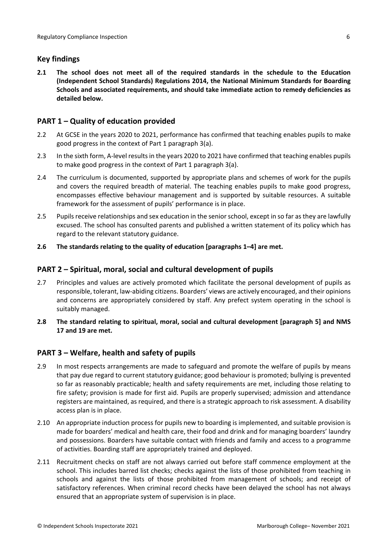## <span id="page-5-0"></span>**Key findings**

**2.1 The school does not meet all of the required standards in the schedule to the Education (Independent School Standards) Regulations 2014, the National Minimum Standards for Boarding Schools and associated requirements, and should take immediate action to remedy deficiencies as detailed below.**

## <span id="page-5-1"></span>**PART 1 – Quality of education provided**

- 2.2 At GCSE in the years 2020 to 2021, performance has confirmed that teaching enables pupils to make good progress in the context of Part 1 paragraph 3(a).
- 2.3 In the sixth form, A-level resultsin the years 2020 to 2021 have confirmed that teaching enables pupils to make good progress in the context of Part 1 paragraph 3(a).
- 2.4 The curriculum is documented, supported by appropriate plans and schemes of work for the pupils and covers the required breadth of material. The teaching enables pupils to make good progress, encompasses effective behaviour management and is supported by suitable resources. A suitable framework for the assessment of pupils' performance is in place.
- 2.5 Pupils receive relationships and sex education in the senior school, except in so far as they are lawfully excused. The school has consulted parents and published a written statement of its policy which has regard to the relevant statutory guidance.
- **2.6 The standards relating to the quality of education [paragraphs 1–4] are met.**

#### <span id="page-5-2"></span>**PART 2 – Spiritual, moral, social and cultural development of pupils**

- 2.7 Principles and values are actively promoted which facilitate the personal development of pupils as responsible, tolerant, law-abiding citizens. Boarders' views are actively encouraged, and their opinions and concerns are appropriately considered by staff. Any prefect system operating in the school is suitably managed.
- **2.8 The standard relating to spiritual, moral, social and cultural development [paragraph 5] and NMS 17 and 19 are met.**

#### <span id="page-5-3"></span>**PART 3 – Welfare, health and safety of pupils**

- 2.9 In most respects arrangements are made to safeguard and promote the welfare of pupils by means that pay due regard to current statutory guidance; good behaviour is promoted; bullying is prevented so far as reasonably practicable; health and safety requirements are met, including those relating to fire safety; provision is made for first aid. Pupils are properly supervised; admission and attendance registers are maintained, as required, and there is a strategic approach to risk assessment. A disability access plan is in place.
- 2.10 An appropriate induction process for pupils new to boarding is implemented, and suitable provision is made for boarders' medical and health care, their food and drink and for managing boarders' laundry and possessions. Boarders have suitable contact with friends and family and access to a programme of activities. Boarding staff are appropriately trained and deployed.
- 2.11 Recruitment checks on staff are not always carried out before staff commence employment at the school. This includes barred list checks; checks against the lists of those prohibited from teaching in schools and against the lists of those prohibited from management of schools; and receipt of satisfactory references. When criminal record checks have been delayed the school has not always ensured that an appropriate system of supervision is in place.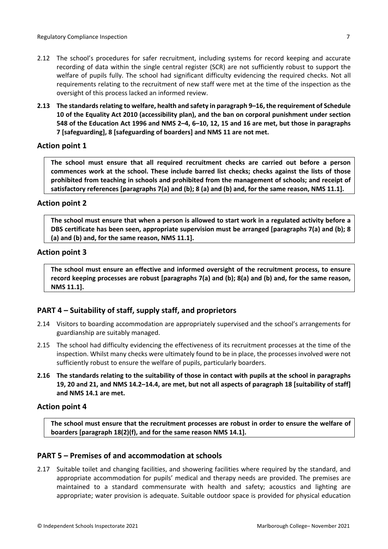- 2.12 The school's procedures for safer recruitment, including systems for record keeping and accurate recording of data within the single central register (SCR) are not sufficiently robust to support the welfare of pupils fully. The school had significant difficulty evidencing the required checks. Not all requirements relating to the recruitment of new staff were met at the time of the inspection as the oversight of this process lacked an informed review.
- **2.13 The standardsrelating to welfare, health and safety in paragraph 9–16, the requirement of Schedule 10 of the Equality Act 2010 (accessibility plan), and the ban on corporal punishment under section** 548 of the Education Act 1996 and NMS 2-4, 6-10, 12, 15 and 16 are met, but those in paragraphs **7 [safeguarding], 8 [safeguarding of boarders] and NMS 11 are not met.**

#### **Action point 1**

**The school must ensure that all required recruitment checks are carried out before a person commences work at the school. These include barred list checks; checks against the lists of those prohibited from teaching in schools and prohibited from the management of schools; and receipt of satisfactory references [paragraphs 7(a) and (b); 8 (a) and (b) and, for the same reason, NMS 11.1].**

#### **Action point 2**

The school must ensure that when a person is allowed to start work in a regulated activity before a **DBS certificate has been seen, appropriate supervision must be arranged [paragraphs 7(a) and (b); 8 (a) and (b) and, for the same reason, NMS 11.1].**

#### **Action point 3**

**The school must ensure an effective and informed oversight of the recruitment process, to ensure record keeping processes are robust [paragraphs 7(a) and (b); 8(a) and (b) and, for the same reason, NMS 11.1].**

#### <span id="page-6-0"></span>**PART 4 – Suitability of staff, supply staff, and proprietors**

- 2.14 Visitors to boarding accommodation are appropriately supervised and the school's arrangements for guardianship are suitably managed.
- 2.15 The school had difficulty evidencing the effectiveness of its recruitment processes at the time of the inspection. Whilst many checks were ultimately found to be in place, the processes involved were not sufficiently robust to ensure the welfare of pupils, particularly boarders.
- 2.16 The standards relating to the suitability of those in contact with pupils at the school in paragraphs 19, 20 and 21, and NMS 14.2-14.4, are met, but not all aspects of paragraph 18 [suitability of staff] **and NMS 14.1 are met.**

#### **Action point 4**

**The school must ensure that the recruitment processes are robust in order to ensure the welfare of boarders [paragraph 18(2)(f), and for the same reason NMS 14.1].**

#### <span id="page-6-1"></span>**PART 5 – Premises of and accommodation at schools**

2.17 Suitable toilet and changing facilities, and showering facilities where required by the standard, and appropriate accommodation for pupils' medical and therapy needs are provided. The premises are maintained to a standard commensurate with health and safety; acoustics and lighting are appropriate; water provision is adequate. Suitable outdoor space is provided for physical education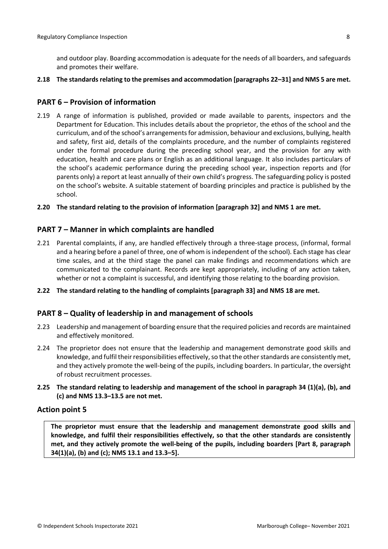and outdoor play. Boarding accommodation is adequate for the needs of all boarders, and safeguards and promotes their welfare.

#### **2.18 The standardsrelating to the premises and accommodation [paragraphs 22–31] and NMS 5 are met.**

#### <span id="page-7-0"></span>**PART 6 – Provision of information**

- 2.19 A range of information is published, provided or made available to parents, inspectors and the Department for Education. This includes details about the proprietor, the ethos of the school and the curriculum, and of the school's arrangementsfor admission, behaviour and exclusions, bullying, health and safety, first aid, details of the complaints procedure, and the number of complaints registered under the formal procedure during the preceding school year, and the provision for any with education, health and care plans or English as an additional language. It also includes particulars of the school's academic performance during the preceding school year, inspection reports and (for parents only) a report at least annually of their own child's progress. The safeguarding policy is posted on the school's website. A suitable statement of boarding principles and practice is published by the school.
- **2.20 The standard relating to the provision of information [paragraph 32] and NMS 1 are met.**

#### <span id="page-7-1"></span>**PART 7 – Manner in which complaints are handled**

- 2.21 Parental complaints, if any, are handled effectively through a three-stage process, (informal, formal and a hearing before a panel of three, one of whom is independent of the school). Each stage has clear time scales, and at the third stage the panel can make findings and recommendations which are communicated to the complainant. Records are kept appropriately, including of any action taken, whether or not a complaint is successful, and identifying those relating to the boarding provision.
- **2.22 The standard relating to the handling of complaints [paragraph 33] and NMS 18 are met.**

#### <span id="page-7-2"></span>**PART 8 – Quality of leadership in and management of schools**

- 2.23 Leadership and management of boarding ensure that the required policies and records are maintained and effectively monitored.
- 2.24 The proprietor does not ensure that the leadership and management demonstrate good skills and knowledge, and fulfil their responsibilities effectively, so that the other standards are consistently met, and they actively promote the well-being of the pupils, including boarders. In particular, the oversight of robust recruitment processes.
- **2.25 The standard relating to leadership and management of the school in paragraph 34 (1)(a), (b), and (c) and NMS 13.3–13.5 are not met.**

#### **Action point 5**

**The proprietor must ensure that the leadership and management demonstrate good skills and knowledge, and fulfil their responsibilities effectively, so that the other standards are consistently met, and they actively promote the well-being of the pupils, including boarders [Part 8, paragraph 34(1)(a), (b) and (c); NMS 13.1 and 13.3–5].**